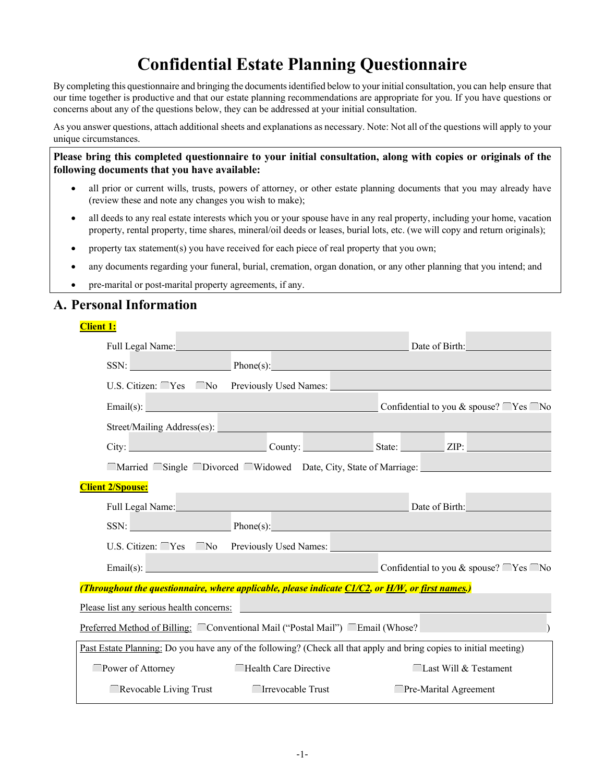# **Confidential Estate Planning Questionnaire**

By completing this questionnaire and bringing the documentsidentified below to your initial consultation, you can help ensure that our time together is productive and that our estate planning recommendations are appropriate for you. If you have questions or concerns about any of the questions below, they can be addressed at your initial consultation.

As you answer questions, attach additional sheets and explanations as necessary. Note: Not all of the questions will apply to your unique circumstances.

**Please bring this completed questionnaire to your initial consultation, along with copies or originals of the following documents that you have available:** 

- all prior or current wills, trusts, powers of attorney, or other estate planning documents that you may already have (review these and note any changes you wish to make);
- all deeds to any real estate interests which you or your spouse have in any real property, including your home, vacation property, rental property, time shares, mineral/oil deeds or leases, burial lots, etc. (we will copy and return originals);
- property tax statement(s) you have received for each piece of real property that you own;
- any documents regarding your funeral, burial, cremation, organ donation, or any other planning that you intend; and
- pre-marital or post-marital property agreements, if any.

### **A. Personal Information**

| <b>Client 1:</b>                                                                                 |                       |                                                                                                                    |
|--------------------------------------------------------------------------------------------------|-----------------------|--------------------------------------------------------------------------------------------------------------------|
|                                                                                                  |                       | Full Legal Name: Date of Birth: Date of Birth:                                                                     |
|                                                                                                  |                       | $\text{SSN:}$ Phone(s): $\text{Phone}(s)$ :                                                                        |
| U.S. Citizen: Yes No Previously Used Names:                                                      |                       |                                                                                                                    |
|                                                                                                  |                       | Email(s): $\qquad \qquad$ Confidential to you & spouse? $\qquad \qquad$ Yes $\Box$ No                              |
|                                                                                                  |                       |                                                                                                                    |
|                                                                                                  |                       | City: City: County: County: County: County: County: City: 2IP:                                                     |
|                                                                                                  |                       | ■ Married Single ■ Divorced Widowed Date, City, State of Marriage:                                                 |
| <b>Client 2/Spouse:</b>                                                                          |                       |                                                                                                                    |
|                                                                                                  |                       | Full Legal Name: Date of Birth: Date of Birth:                                                                     |
|                                                                                                  |                       | $\text{SSN:}$ <b>Phone(s): Phone(s): Phone</b> (s):                                                                |
|                                                                                                  |                       | U.S. Citizen: Ves No Previously Used Names: No. 31 No. 2014                                                        |
|                                                                                                  | Email(s):             | Confidential to you & spouse? $\Gamma$ Yes $\Gamma$ No                                                             |
| (Throughout the questionnaire, where applicable, please indicate C1/C2, or H/W, or first names.) |                       |                                                                                                                    |
| Please list any serious health concerns:                                                         |                       |                                                                                                                    |
|                                                                                                  |                       | <u>Preferred Method of Billing:</u> Conventional Mail ("Postal Mail") C Email (Whose?                              |
|                                                                                                  |                       |                                                                                                                    |
|                                                                                                  |                       | Past Estate Planning: Do you have any of the following? (Check all that apply and bring copies to initial meeting) |
| Power of Attorney                                                                                | Health Care Directive | Last Will & Testament                                                                                              |
| $\Box$ Revocable Living Trust                                                                    | □ Irrevocable Trust   | $^-$ Pre-Marital Agreement                                                                                         |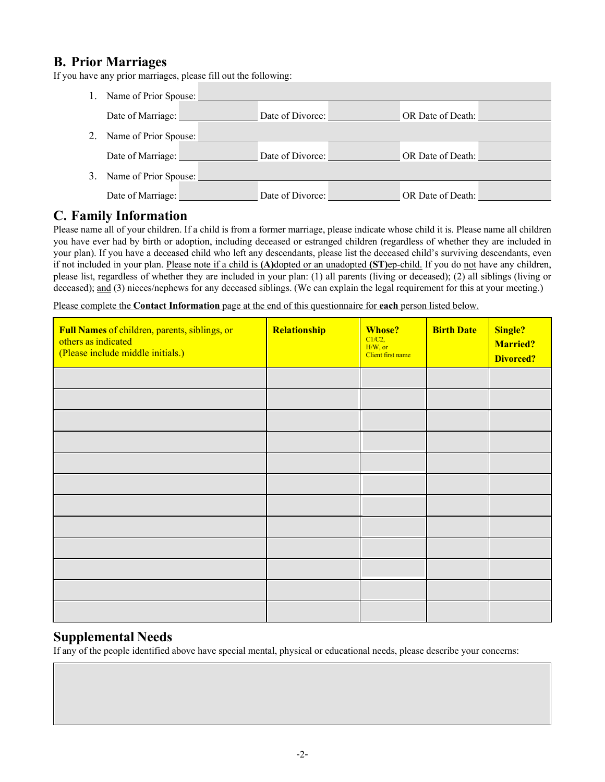# **B. Prior Marriages**

If you have any prior marriages, please fill out the following:

|    | Name of Prior Spouse: |                  |                   |
|----|-----------------------|------------------|-------------------|
|    | Date of Marriage:     | Date of Divorce: | OR Date of Death: |
|    | Name of Prior Spouse: |                  |                   |
|    | Date of Marriage:     | Date of Divorce: | OR Date of Death: |
| 3. | Name of Prior Spouse: |                  |                   |
|    | Date of Marriage:     | Date of Divorce: | OR Date of Death: |

# **C. Family Information**

Please name all of your children. If a child is from a former marriage, please indicate whose child it is. Please name all children you have ever had by birth or adoption, including deceased or estranged children (regardless of whether they are included in your plan). If you have a deceased child who left any descendants, please list the deceased child's surviving descendants, even if not included in your plan. Please note if a child is **(A)**dopted or an unadopted **(ST)**ep-child. If you do not have any children, please list, regardless of whether they are included in your plan: (1) all parents (living or deceased); (2) all siblings (living or deceased); and (3) nieces/nephews for any deceased siblings. (We can explain the legal requirement for this at your meeting.)

Please complete the **Contact Information** page at the end of this questionnaire for **each** person listed below.

| Full Names of children, parents, siblings, or<br>others as indicated<br>(Please include middle initials.) | Relationship | <b>Whose?</b><br>$Cl/C2$ ,<br>H/W, or<br>Client first name | <b>Birth Date</b> | Single?<br><b>Married?</b><br><b>Divorced?</b> |
|-----------------------------------------------------------------------------------------------------------|--------------|------------------------------------------------------------|-------------------|------------------------------------------------|
|                                                                                                           |              |                                                            |                   |                                                |
|                                                                                                           |              |                                                            |                   |                                                |
|                                                                                                           |              |                                                            |                   |                                                |
|                                                                                                           |              |                                                            |                   |                                                |
|                                                                                                           |              |                                                            |                   |                                                |
|                                                                                                           |              |                                                            |                   |                                                |
|                                                                                                           |              |                                                            |                   |                                                |
|                                                                                                           |              |                                                            |                   |                                                |
|                                                                                                           |              |                                                            |                   |                                                |
|                                                                                                           |              |                                                            |                   |                                                |
|                                                                                                           |              |                                                            |                   |                                                |
|                                                                                                           |              |                                                            |                   |                                                |

# **Supplemental Needs**

If any of the people identified above have special mental, physical or educational needs, please describe your concerns: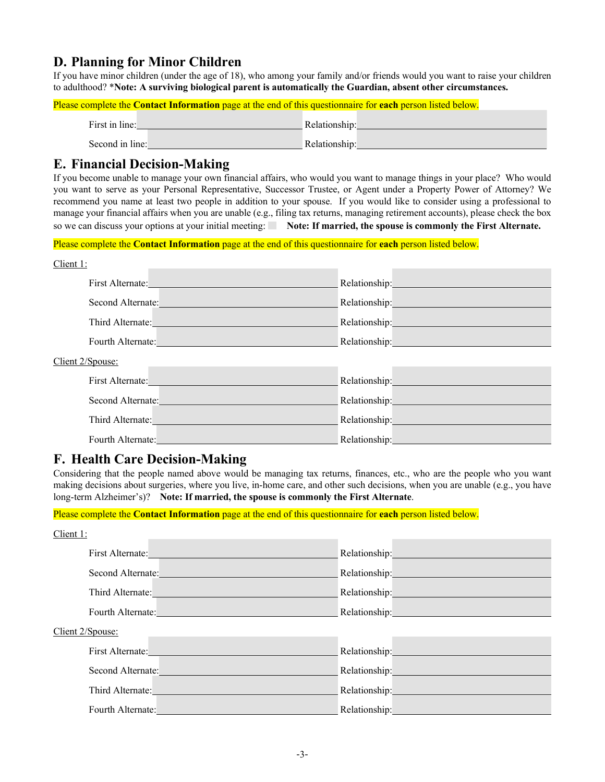# **D. Planning for Minor Children**

If you have minor children (under the age of 18), who among your family and/or friends would you want to raise your children to adulthood? \***Note: A surviving biological parent is automatically the Guardian, absent other circumstances.**

Please complete the **Contact Information** page at the end of this questionnaire for **each** person listed below.

| First in line:  | Relationship: |
|-----------------|---------------|
| Second in line: | Relationship: |

# **E. Financial Decision-Making**

If you become unable to manage your own financial affairs, who would you want to manage things in your place? Who would you want to serve as your Personal Representative, Successor Trustee, or Agent under a Property Power of Attorney? We recommend you name at least two people in addition to your spouse. If you would like to consider using a professional to manage your financial affairs when you are unable (e.g., filing tax returns, managing retirement accounts), please check the box so we can discuss your options at your initial meeting: Note: If married, the spouse is commonly the First Alternate.

Please complete the **Contact Information** page at the end of this questionnaire for **each** person listed below.

| Client 1:         |                                                                                                                                                                                                                                |                                 |                                                                                                                                                                                                                                |
|-------------------|--------------------------------------------------------------------------------------------------------------------------------------------------------------------------------------------------------------------------------|---------------------------------|--------------------------------------------------------------------------------------------------------------------------------------------------------------------------------------------------------------------------------|
|                   | First Alternate: <u>Electricity</u>                                                                                                                                                                                            |                                 |                                                                                                                                                                                                                                |
|                   | Second Alternate: The Contract of the Contract of the Contract of the Contract of the Contract of the Contract of the Contract of the Contract of the Contract of the Contract of the Contract of the Contract of the Contract |                                 | Relationship: New York 1997                                                                                                                                                                                                    |
|                   | Third Alternate: Third Alternate:                                                                                                                                                                                              |                                 | Relationship: The Contract of the Contract of the Contract of the Contract of the Contract of the Contract of the Contract of the Contract of the Contract of the Contract of the Contract of the Contract of the Contract of  |
|                   | Fourth Alternate: The Contract of the Contract of the Contract of the Contract of the Contract of the Contract of the Contract of the Contract of the Contract of the Contract of the Contract of the Contract of the Contract |                                 | Relationship: New York 1997                                                                                                                                                                                                    |
| Client 2/Spouse:  |                                                                                                                                                                                                                                |                                 |                                                                                                                                                                                                                                |
|                   | First Alternate:                                                                                                                                                                                                               |                                 | Relationship: Network of the Contract of the Contract of the Contract of the Contract of the Contract of the Contract of the Contract of the Contract of the Contract of the Contract of the Contract of the Contract of the C |
|                   | Second Alternate:                                                                                                                                                                                                              |                                 | Relationship: Network of the Contract of the Contract of the Contract of the Contract of the Contract of the Contract of the Contract of the Contract of the Contract of the Contract of the Contract of the Contract of the C |
| Third Alternate:  |                                                                                                                                                                                                                                | Relationship: The Relationship: |                                                                                                                                                                                                                                |
| Fourth Alternate: |                                                                                                                                                                                                                                | Relationship:                   |                                                                                                                                                                                                                                |

# **F. Health Care Decision-Making**

Considering that the people named above would be managing tax returns, finances, etc., who are the people who you want making decisions about surgeries, where you live, in-home care, and other such decisions, when you are unable (e.g., you have long-term Alzheimer's)? **Note: If married, the spouse is commonly the First Alternate**.

Please complete the **Contact Information** page at the end of this questionnaire for **each** person listed below.

| Client 1:        |                                                                                                                                                                                                                                |                                                                                                                                                                                                                               |
|------------------|--------------------------------------------------------------------------------------------------------------------------------------------------------------------------------------------------------------------------------|-------------------------------------------------------------------------------------------------------------------------------------------------------------------------------------------------------------------------------|
|                  | First Alternate:                                                                                                                                                                                                               | Relationship:                                                                                                                                                                                                                 |
|                  | Second Alternate:                                                                                                                                                                                                              |                                                                                                                                                                                                                               |
|                  | Third Alternate: <u>International Communication</u>                                                                                                                                                                            | Relationship: New York Street, New York Street, New York Street, New York Street, New York Street, New York Street, New York Street, New York Street, New York Street, New York Street, New York Street, New York Street, New |
|                  | Fourth Alternate: Management of the Contract of the Contract of the Contract of the Contract of the Contract of the Contract of the Contract of the Contract of the Contract of the Contract of the Contract of the Contract o | Relationship: New York 1997                                                                                                                                                                                                   |
| Client 2/Spouse: |                                                                                                                                                                                                                                |                                                                                                                                                                                                                               |
|                  | First Alternate:                                                                                                                                                                                                               | Relationship: New York Street and Street and Street and Street and Street and Street and Street and Street and                                                                                                                |
|                  | Second Alternate:                                                                                                                                                                                                              | Relationship: New York Strategy Assessment Contractor Contractor                                                                                                                                                              |
|                  | Third Alternate: Third Alternate:                                                                                                                                                                                              | Relationship:                                                                                                                                                                                                                 |
|                  | Fourth Alternate:                                                                                                                                                                                                              | Relationship:                                                                                                                                                                                                                 |
|                  |                                                                                                                                                                                                                                |                                                                                                                                                                                                                               |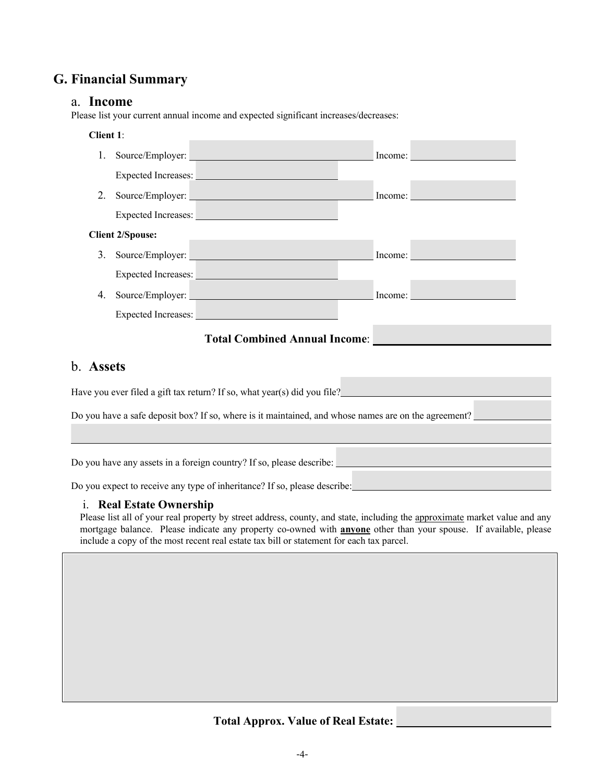# **G. Financial Summary**

#### a. **Income**

Please list your current annual income and expected significant increases/decreases:

#### **Client 1**:

| 1. |                            | Source/Employer:    |         | Income: |
|----|----------------------------|---------------------|---------|---------|
|    | Expected Increases:        |                     |         |         |
| 2. |                            | Source/Employer:    |         | Income: |
|    |                            | Expected Increases: |         |         |
|    | <b>Client 2/Spouse:</b>    |                     |         |         |
| 3. | Source/Employer:           |                     | Income: |         |
|    | <b>Expected Increases:</b> |                     |         |         |
| 4. | Source/Employer:           |                     | Income: |         |
|    | Expected Increases:        |                     |         |         |

### **Total Combined Annual Income**:

# b. **Assets**

Have you ever filed a gift tax return? If so, what year(s) did you file? Do you have a safe deposit box? If so, where is it maintained, and whose names are on the agreement?

Do you have any assets in a foreign country? If so, please describe:

Do you expect to receive any type of inheritance? If so, please describe:

#### i. **Real Estate Ownership**

Please list all of your real property by street address, county, and state, including the approximate market value and any mortgage balance. Please indicate any property co-owned with **anyone** other than your spouse. If available, please include a copy of the most recent real estate tax bill or statement for each tax parcel.

# **Total Approx. Value of Real Estate:**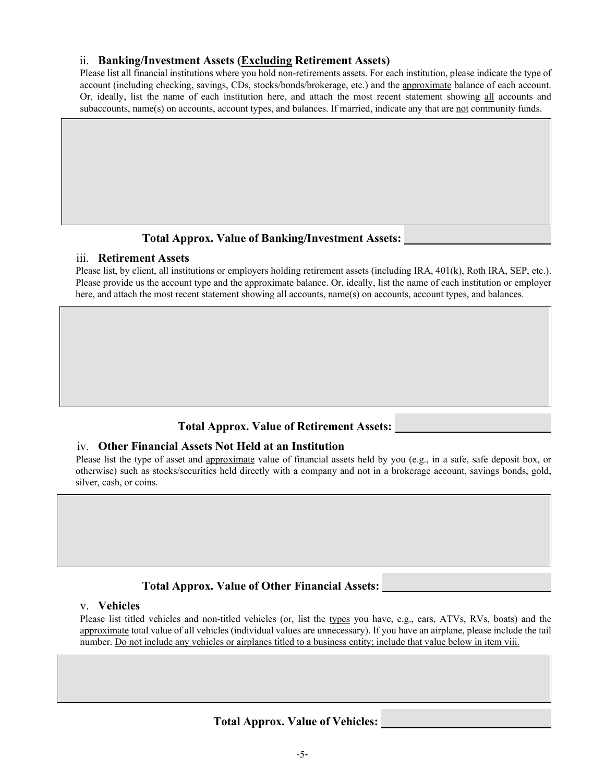#### ii. **Banking/Investment Assets (Excluding Retirement Assets)**

Please list all financial institutions where you hold non-retirements assets. For each institution, please indicate the type of account (including checking, savings, CDs, stocks/bonds/brokerage, etc.) and the approximate balance of each account. Or, ideally, list the name of each institution here, and attach the most recent statement showing all accounts and subaccounts, name(s) on accounts, account types, and balances. If married, indicate any that are not community funds.

### **Total Approx. Value of Banking/Investment Assets:**

#### iii. **Retirement Assets**

Please list, by client, all institutions or employers holding retirement assets (including IRA, 401(k), Roth IRA, SEP, etc.). Please provide us the account type and the approximate balance. Or, ideally, list the name of each institution or employer here, and attach the most recent statement showing all accounts, name(s) on accounts, account types, and balances.

### **Total Approx. Value of Retirement Assets:**

#### iv. **Other Financial Assets Not Held at an Institution**

Please list the type of asset and approximate value of financial assets held by you (e.g., in a safe, safe deposit box, or otherwise) such as stocks/securities held directly with a company and not in a brokerage account, savings bonds, gold, silver, cash, or coins.

### **Total Approx. Value of Other Financial Assets:**

#### v. **Vehicles**

Please list titled vehicles and non-titled vehicles (or, list the types you have, e.g., cars, ATVs, RVs, boats) and the approximate total value of all vehicles (individual values are unnecessary). If you have an airplane, please include the tail number. Do not include any vehicles or airplanes titled to a business entity; include that value below in item viii.

### **Total Approx. Value of Vehicles:**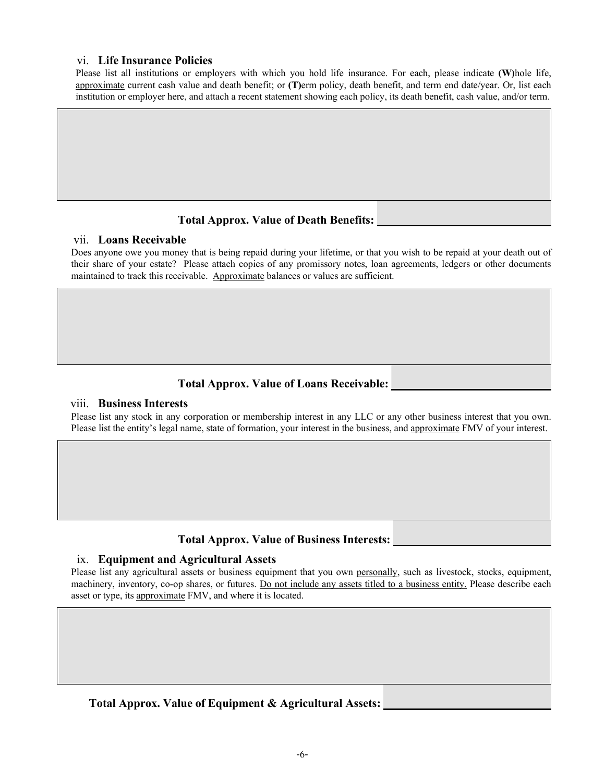#### vi. **Life Insurance Policies**

Please list all institutions or employers with which you hold life insurance. For each, please indicate **(W)**hole life, approximate current cash value and death benefit; or **(T)**erm policy, death benefit, and term end date/year. Or, list each institution or employer here, and attach a recent statement showing each policy, its death benefit, cash value, and/or term.

#### **Total Approx. Value of Death Benefits:**

#### vii. **Loans Receivable**

Does anyone owe you money that is being repaid during your lifetime, or that you wish to be repaid at your death out of their share of your estate? Please attach copies of any promissory notes, loan agreements, ledgers or other documents maintained to track this receivable. Approximate balances or values are sufficient.

#### **Total Approx. Value of Loans Receivable:**

#### viii. **Business Interests**

Please list any stock in any corporation or membership interest in any LLC or any other business interest that you own. Please list the entity's legal name, state of formation, your interest in the business, and approximate FMV of your interest.

# **Total Approx. Value of Business Interests:**

#### ix. **Equipment and Agricultural Assets**

Please list any agricultural assets or business equipment that you own personally, such as livestock, stocks, equipment, machinery, inventory, co-op shares, or futures. Do not include any assets titled to a business entity. Please describe each asset or type, its approximate FMV, and where it is located.

### **Total Approx. Value of Equipment & Agricultural Assets:**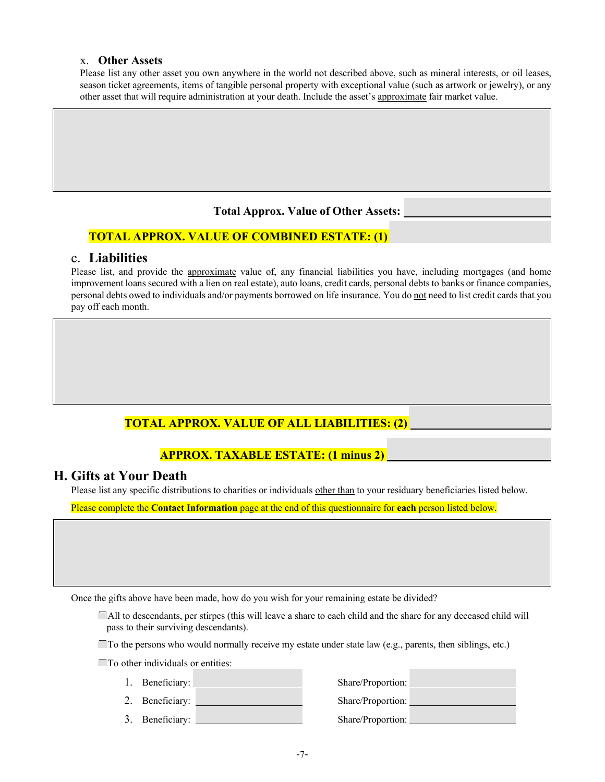#### x. **Other Assets**

Please list any other asset you own anywhere in the world not described above, such as mineral interests, or oil leases, season ticket agreements, items of tangible personal property with exceptional value (such as artwork or jewelry), or any other asset that will require administration at your death. Include the asset's approximate fair market value.

#### **Total Approx. Value of Other Assets:**

### **TOTAL APPROX. VALUE OF COMBINED ESTATE: (1)**

#### c. **Liabilities**

Please list, and provide the approximate value of, any financial liabilities you have, including mortgages (and home improvement loans secured with a lien on real estate), auto loans, credit cards, personal debts to banks or finance companies, personal debts owed to individuals and/or payments borrowed on life insurance. You do not need to list credit cards that you pay off each month.

# **TOTAL APPROX. VALUE OF ALL LIABILITIES: (2)**

# **APPROX. TAXABLE ESTATE: (1 minus 2)**

### **H. Gifts at Your Death**

Please list any specific distributions to charities or individuals other than to your residuary beneficiaries listed below.

Please complete the **Contact Information** page at the end of this questionnaire for **each** person listed below.

Once the gifts above have been made, how do you wish for your remaining estate be divided?

◯All to descendants, per stirpes (this will leave a share to each child and the share for any deceased child will pass to their surviving descendants).

 $\Box$  To the persons who would normally receive my estate under state law (e.g., parents, then siblings, etc.)

 $\Box$  To other individuals or entities:

- 
- 
- 3. Beneficiary: Share/Proportion:

1. Beneficiary: Share/Proportion: 2. Beneficiary: Share/Proportion: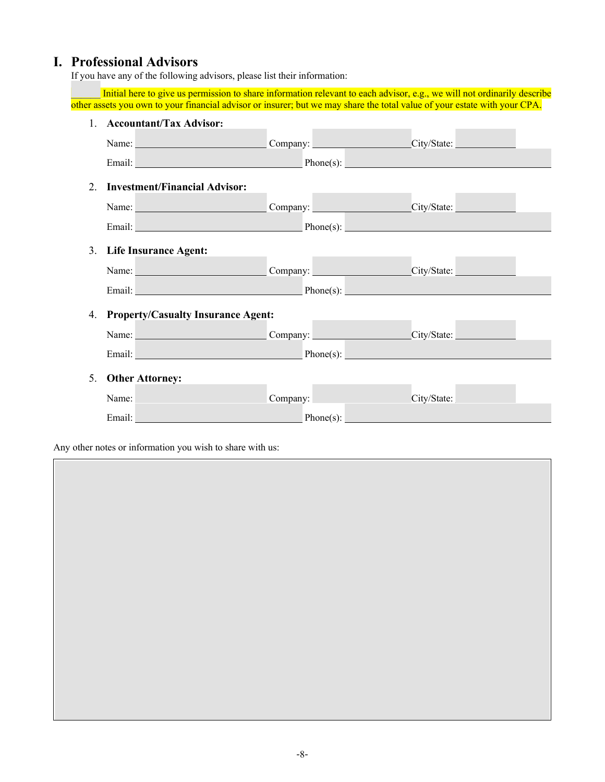# **I. Professional Advisors**

If you have any of the following advisors, please list their information:

Initial here to give us permission to share information relevant to each advisor, e.g., we will not ordinarily describe other assets you own to your financial advisor or insurer; but we may share the total value of your estate with your CPA.

|    | 1. Accountant/Tax Advisor:                   |  |
|----|----------------------------------------------|--|
|    | Name: Company: Company: Company: City/State: |  |
|    | Email: Phone(s): Phone(s): Phone(s):         |  |
| 2. | <b>Investment/Financial Advisor:</b>         |  |
|    | Name: Company: Company: Company: City/State: |  |
|    | Email: Phone(s): Phone(s): Phone(s):         |  |
|    | 3. Life Insurance Agent:                     |  |
|    |                                              |  |
|    | Name: Company: Company: Company: City/State: |  |
|    | Email: Phone(s): Phone(s): Phone(s):         |  |
|    | 4. Property/Casualty Insurance Agent:        |  |
|    | Name: Company: Company: Company: City/State: |  |
|    | Email: Phone(s): Phone(s):                   |  |
| 5. | <b>Other Attorney:</b>                       |  |
|    | Name: Company: Company: Company: City/State: |  |
|    | Email: Phone(s): Phone(s):                   |  |
|    |                                              |  |

Any other notes or information you wish to share with us: